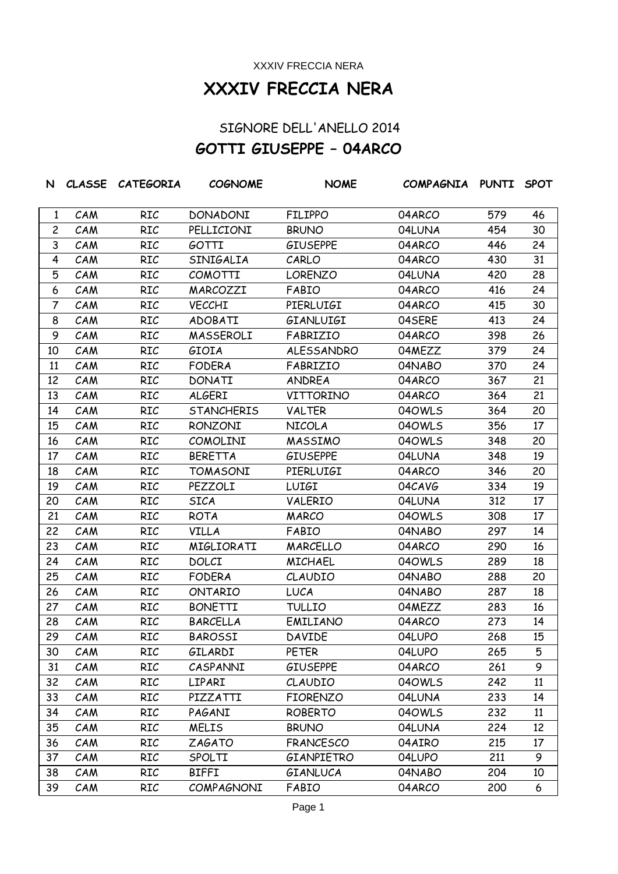XXXIV FRECCIA NERA

## **XXXIV FRECCIA NERA**

## SIGNORE DELL'ANELLO 2014 **GOTTI GIUSEPPE – 04ARCO**

| N              |     | CLASSE CATEGORIA | <b>COGNOME</b>    | <b>NOME</b>      | COMPAGNIA PUNTI SPOT |     |    |
|----------------|-----|------------------|-------------------|------------------|----------------------|-----|----|
| 1              | CAM | <b>RIC</b>       | DONADONI          | <b>FILIPPO</b>   | 04ARCO               | 579 | 46 |
| $\overline{c}$ | CAM | <b>RIC</b>       | PELLICIONI        | <b>BRUNO</b>     | 04LUNA               | 454 | 30 |
| 3              | CAM | <b>RIC</b>       | GOTTI             | <b>GIUSEPPE</b>  | 04ARCO               | 446 | 24 |
| 4              | CAM | <b>RIC</b>       | SINIGALIA         | CARLO            | 04ARCO               | 430 | 31 |
| 5              | CAM | <b>RIC</b>       | <b>COMOTTI</b>    | <b>LORENZO</b>   | 04LUNA               | 420 | 28 |
| 6              | CAM | <b>RIC</b>       | MARCOZZI          | FABIO            | 04ARCO               | 416 | 24 |
| 7              | CAM | RIC              | <b>VECCHI</b>     | PIERLUIGI        | 04ARCO               | 415 | 30 |
| 8              | CAM | <b>RIC</b>       | ADOBATI           | <b>GIANLUIGI</b> | 04SERE               | 413 | 24 |
| 9              | CAM | <b>RIC</b>       | MASSEROLI         | FABRIZIO         | 04ARCO               | 398 | 26 |
| 10             | CAM | RIC              | GIOIA             | ALESSANDRO       | 04MEZZ               | 379 | 24 |
| 11             | CAM | <b>RIC</b>       | <b>FODERA</b>     | FABRIZIO         | 04NABO               | 370 | 24 |
| 12             | CAM | <b>RIC</b>       | <b>DONATI</b>     | ANDREA           | 04ARCO               | 367 | 21 |
| 13             | CAM | <b>RIC</b>       | <b>ALGERI</b>     | <b>VITTORINO</b> | 04ARCO               | 364 | 21 |
| 14             | CAM | <b>RIC</b>       | <b>STANCHERIS</b> | <b>VALTER</b>    | 040WLS               | 364 | 20 |
| 15             | CAM | <b>RIC</b>       | RONZONI           | NICOLA           | 04OWLS               | 356 | 17 |
| 16             | CAM | <b>RIC</b>       | COMOLINI          | <b>MASSIMO</b>   | 040WLS               | 348 | 20 |
| 17             | CAM | <b>RIC</b>       | <b>BERETTA</b>    | <b>GIUSEPPE</b>  | 04LUNA               | 348 | 19 |
| 18             | CAM | <b>RIC</b>       | TOMASONI          | PIERLUIGI        | 04ARCO               | 346 | 20 |
| 19             | CAM | <b>RIC</b>       | PEZZOLI           | LUIGI            | 04CAVG               | 334 | 19 |
| 20             | CAM | <b>RIC</b>       | <b>SICA</b>       | VALERIO          | 04LUNA               | 312 | 17 |
| 21             | CAM | <b>RIC</b>       | <b>ROTA</b>       | <b>MARCO</b>     | 040WLS               | 308 | 17 |
| 22             | CAM | <b>RIC</b>       | VILLA             | FABIO            | 04NABO               | 297 | 14 |
| 23             | CAM | <b>RIC</b>       | MIGLIORATI        | <b>MARCELLO</b>  | 04ARCO               | 290 | 16 |
| 24             | CAM | <b>RIC</b>       | <b>DOLCI</b>      | <b>MICHAEL</b>   | 04OWLS               | 289 | 18 |
| 25             | CAM | <b>RIC</b>       | <b>FODERA</b>     | CLAUDIO          | 04NABO               | 288 | 20 |
| 26             | CAM | RIC              | ONTARIO           | <b>LUCA</b>      | 04NABO               | 287 | 18 |
| 27             | CAM | <b>RIC</b>       | <b>BONETTI</b>    | <b>TULLIO</b>    | 04MEZZ               | 283 | 16 |
| 28             | CAM | RIC              | <b>BARCELLA</b>   | <b>EMILIANO</b>  | 04ARCO               | 273 | 14 |
| 29             | CAM | RIC              | <b>BAROSSI</b>    | <b>DAVIDE</b>    | 04LUPO               | 268 | 15 |
| 30             | CAM | <b>RIC</b>       | GILARDI           | <b>PETER</b>     | 04LUPO               | 265 | 5  |
| 31             | CAM | <b>RIC</b>       | CASPANNI          | <b>GIUSEPPE</b>  | 04ARCO               | 261 | 9  |
| 32             | CAM | <b>RIC</b>       | LIPARI            | <b>CLAUDIO</b>   | 040WLS               | 242 | 11 |
| 33             | CAM | <b>RIC</b>       | PIZZATTI          | <b>FIORENZO</b>  | 04LUNA               | 233 | 14 |
| 34             | CAM | <b>RIC</b>       | PAGANI            | <b>ROBERTO</b>   | 04OWLS               | 232 | 11 |
| 35             | CAM | <b>RIC</b>       | <b>MELIS</b>      | <b>BRUNO</b>     | 04LUNA               | 224 | 12 |
| 36             | CAM | RIC              | <b>ZAGATO</b>     | <b>FRANCESCO</b> | 04AIRO               | 215 | 17 |
| 37             | CAM | <b>RIC</b>       | SPOLTI            | GIANPIETRO       | 04LUPO               | 211 | 9  |
| 38             | CAM | RIC              | <b>BIFFI</b>      | <b>GIANLUCA</b>  | 04NABO               | 204 | 10 |
| 39             | CAM | <b>RIC</b>       | COMPAGNONI        | FABIO            | 04ARCO               | 200 | 6  |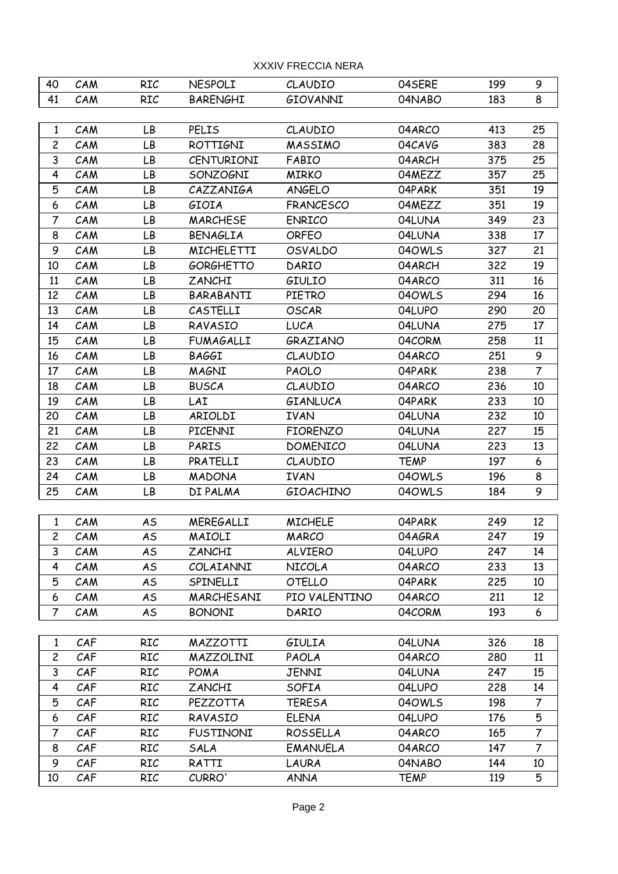## XXXIV FRECCIA NERA

| 40             | CAM | RIC        | NESPOLI           | CLAUDIO          | 04SERE      | 199 | 9              |
|----------------|-----|------------|-------------------|------------------|-------------|-----|----------------|
| 41             | CAM | <b>RIC</b> | <b>BARENGHI</b>   | GIOVANNI         | 04NABO      | 183 | 8              |
|                |     |            |                   |                  |             |     |                |
| $\mathbf{1}$   | CAM | LB         | PELIS             | CLAUDIO          | 04ARCO      | 413 | 25             |
| $\overline{c}$ | CAM | LB         | <b>ROTTIGNI</b>   | <b>MASSIMO</b>   | 04CAVG      | 383 | 28             |
| 3              | CAM | LB         | <b>CENTURIONI</b> | FABIO            | 04ARCH      | 375 | 25             |
| 4              | CAM | LB         | <b>SONZOGNI</b>   | <b>MIRKO</b>     | 04MEZZ      | 357 | 25             |
| 5              | CAM | LB         | CAZZANIGA         | ANGELO           | 04PARK      | 351 | 19             |
| 6              | CAM | LB         | GIOIA             | <b>FRANCESCO</b> | 04MEZZ      | 351 | 19             |
| 7              | CAM | LB         | <b>MARCHESE</b>   | <b>ENRICO</b>    | 04LUNA      | 349 | 23             |
| 8              | CAM | LB         | <b>BENAGLIA</b>   | <b>ORFEO</b>     | 04LUNA      | 338 | 17             |
| 9              | CAM | LB         | <b>MICHELETTI</b> | <b>OSVALDO</b>   | 04OWLS      | 327 | 21             |
| 10             | CAM | LB         | <b>GORGHETTO</b>  | DARIO            | 04ARCH      | 322 | 19             |
| 11             | CAM | LB         | ZANCHI            | GIULIO           | 04ARCO      | 311 | 16             |
| 12             | CAM | LB         | BARABANTI         | <b>PIETRO</b>    | 040WLS      | 294 | 16             |
| 13             | CAM | LB         | CASTELLI          | <b>OSCAR</b>     | 04LUPO      | 290 | 20             |
| 14             | CAM | LB         | RAVASIO           | <b>LUCA</b>      | 04LUNA      | 275 | 17             |
| 15             | CAM | LB         | <b>FUMAGALLI</b>  | GRAZIANO         | 04CORM      | 258 | 11             |
| 16             | CAM | LB         | <b>BAGGI</b>      | CLAUDIO          | 04ARCO      | 251 | 9              |
| 17             | CAM | LB         | <b>MAGNI</b>      | PAOLO            | 04PARK      | 238 | $\overline{7}$ |
| 18             | CAM | LB         | <b>BUSCA</b>      | <b>CLAUDIO</b>   | 04ARCO      | 236 | 10             |
| 19             | CAM | LB         | LAI               | GIANLUCA         | 04PARK      | 233 | 10             |
| 20             | CAM | LB         | ARIOLDI           | <b>IVAN</b>      | 04LUNA      | 232 | 10             |
| 21             | CAM | LB         | PICENNI           | <b>FIORENZO</b>  | 04LUNA      | 227 | 15             |
| 22             | CAM | LB         | PARIS             | <b>DOMENICO</b>  | 04LUNA      | 223 | 13             |
| 23             | CAM | LB         | PRATELLI          | CLAUDIO          | <b>TEMP</b> | 197 | 6              |
| 24             | CAM | LB         | <b>MADONA</b>     | <b>IVAN</b>      | 040WLS      | 196 | 8              |
| 25             | CAM | LB         | DI PALMA          | GIOACHINO        | 040WLS      | 184 | 9              |
|                |     |            |                   |                  |             |     |                |
| $\mathbf{1}$   | CAM | AS         | <b>MEREGALLI</b>  | <b>MICHELE</b>   | 04PARK      | 249 | 12             |
| $\overline{c}$ | CAM | AS         | MAIOLI            | <b>MARCO</b>     | 04AGRA      | 247 | 19             |
| 3              | CAM | AS         | ZANCHI            | <b>ALVIERO</b>   | 04LUPO      | 247 | 14             |
| 4              | CAM | AS         | COLAIANNI         | NICOLA           | 04ARCO      | 233 | 13             |
| 5              | CAM | AS         | SPINELLI          | OTELLO           | 04PARK      | 225 | 10             |
| 6              | CAM | AS         | MARCHESANI        | PIO VALENTINO    | 04ARCO      | 211 | 12             |
| $\overline{7}$ | CAM | AS         | <b>BONONI</b>     | DARIO            | 04CORM      | 193 | 6              |
|                |     |            |                   |                  |             |     |                |
| $\mathbf{1}$   | CAF | RIC        | MAZZOTTI          | <b>GIULIA</b>    | 04LUNA      | 326 | 18             |
| $\overline{c}$ | CAF | <b>RIC</b> | MAZZOLINI         | PAOLA            | 04ARCO      | 280 | 11             |
| 3              | CAF | <b>RIC</b> | POMA              | <b>JENNI</b>     | 04LUNA      | 247 | 15             |
| 4              | CAF | <b>RIC</b> | <b>ZANCHI</b>     | <b>SOFIA</b>     | 04LUPO      | 228 | 14             |
| 5              | CAF | <b>RIC</b> | PEZZOTTA          | <b>TERESA</b>    | 040WLS      | 198 | 7              |
| 6              | CAF | <b>RIC</b> | RAVASIO           | <b>ELENA</b>     | 04LUPO      | 176 | 5              |
| $\overline{7}$ | CAF | <b>RIC</b> | <b>FUSTINONI</b>  | <b>ROSSELLA</b>  | 04ARCO      | 165 | $\overline{7}$ |
| 8              | CAF | RIC        | SALA              | <b>EMANUELA</b>  | 04ARCO      | 147 | 7              |
| 9              | CAF | <b>RIC</b> | RATTI             | LAURA            | 04NABO      | 144 | 10             |
| 10             | CAF | <b>RIC</b> | CURRO'            | <b>ANNA</b>      | <b>TEMP</b> | 119 | 5              |